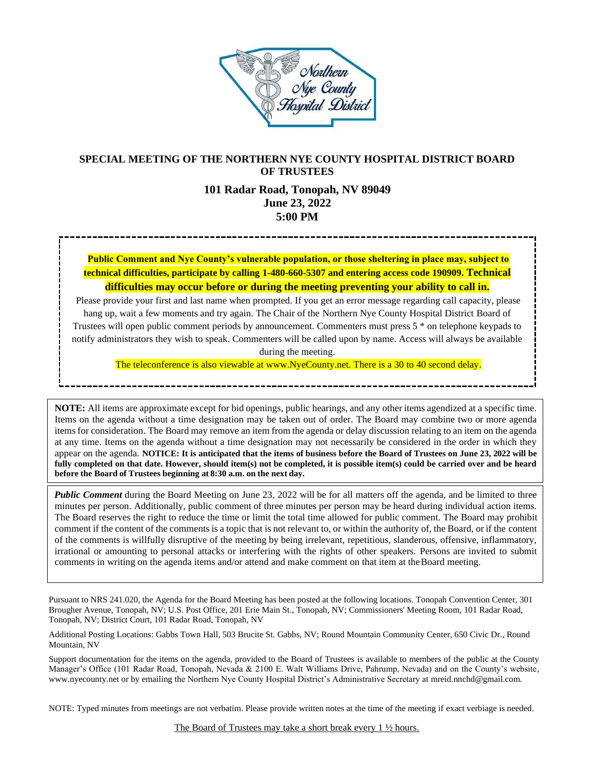

# **SPECIAL MEETING OF THE NORTHERN NYE COUNTY HOSPITAL DISTRICT BOARD OF TRUSTEES**

# **101 Radar Road, Tonopah, NV 89049 June 23, 2022 5:00 PM**

**Public Comment and Nye County's vulnerable population, or those sheltering in place may, subject to technical difficulties, participate by calling 1-480-660-5307 and entering access code 190909. Technical difficulties may occur before or during the meeting preventing your ability to call in.**

Please provide your first and last name when prompted. If you get an error message regarding call capacity, please hang up, wait a few moments and try again. The Chair of the Northern Nye County Hospital District Board of Trustees will open public comment periods by announcement. Commenters must press 5 \* on telephone keypads to notify administrators they wish to speak. Commenters will be called upon by name. Access will always be available during the meeting.

The teleconference is also viewable at www.NyeCounty.net. There is a 30 to 40 second delay.

**NOTE:** All items are approximate except for bid openings, public hearings, and any other items agendized at a specific time. Items on the agenda without a time designation may be taken out of order. The Board may combine two or more agenda itemsfor consideration. The Board may remove an item from the agenda or delay discussion relating to an item on the agenda at any time. Items on the agenda without a time designation may not necessarily be considered in the order in which they appear on the agenda. **NOTICE: It is anticipated that the items of business before the Board of Trustees on June 23, 2022 will be fully completed on that date. However, should item(s) not be completed, it is possible item(s) could be carried over and be heard before the Board of Trustees beginning at 8:30 a.m. on the next day.**

*Public Comment* during the Board Meeting on June 23, 2022 will be for all matters off the agenda, and be limited to three minutes per person. Additionally, public comment of three minutes per person may be heard during individual action items. The Board reserves the right to reduce the time or limit the total time allowed for public comment. The Board may prohibit comment if the content of the comments is a topic that is not relevant to, or within the authority of, the Board, or if the content of the comments is willfully disruptive of the meeting by being irrelevant, repetitious, slanderous, offensive, inflammatory, irrational or amounting to personal attacks or interfering with the rights of other speakers. Persons are invited to submit comments in writing on the agenda items and/or attend and make comment on that item at theBoard meeting.

Pursuant to NRS 241.020, the Agenda for the Board Meeting has been posted at the following locations. Tonopah Convention Center, 301 Brougher Avenue, Tonopah, NV; U.S. Post Office, 201 Erie Main St., Tonopah, NV; Commissioners' Meeting Room, 101 Radar Road, Tonopah, NV; District Court, 101 Radar Road, Tonopah, NV

Additional Posting Locations: Gabbs Town Hall, 503 Brucite St. Gabbs, NV; Round Mountain Community Center, 650 Civic Dr., Round Mountain, NV

Support documentation for the items on the agenda, provided to the Board of Trustees is available to members of the public at the County Manager's Office (101 Radar Road, Tonopah, Nevada & 2100 E. Walt Williams Drive, Pahrump, Nevada) and on the County's website, [www.nyecounty.net](http://www.nyecounty.net/) or by emailing the Northern Nye County Hospital District's Administrative Secretary at mrei[d.nnchd@gmail.com.](mailto:nnchd@gmail.com.)

NOTE: Typed minutes from meetings are not verbatim. Please provide written notes at the time of the meeting if exact verbiage is needed.

The Board of Trustees may take a short break every 1 ½ hours.